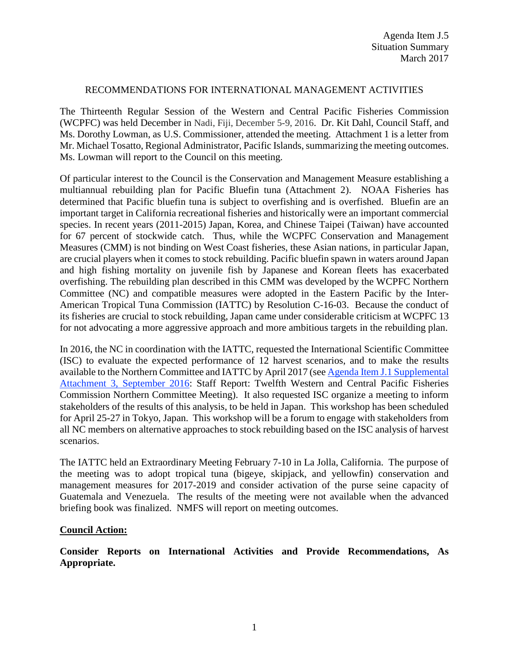## RECOMMENDATIONS FOR INTERNATIONAL MANAGEMENT ACTIVITIES

The Thirteenth Regular Session of the Western and Central Pacific Fisheries Commission (WCPFC) was held December in Nadi, Fiji, December 5-9, 2016. Dr. Kit Dahl, Council Staff, and Ms. Dorothy Lowman, as U.S. Commissioner, attended the meeting. Attachment 1 is a letter from Mr. Michael Tosatto, Regional Administrator, Pacific Islands, summarizing the meeting outcomes. Ms. Lowman will report to the Council on this meeting.

Of particular interest to the Council is the Conservation and Management Measure establishing a multiannual rebuilding plan for Pacific Bluefin tuna (Attachment 2). NOAA Fisheries has determined that Pacific bluefin tuna is subject to overfishing and is overfished. Bluefin are an important target in California recreational fisheries and historically were an important commercial species. In recent years (2011-2015) Japan, Korea, and Chinese Taipei (Taiwan) have accounted for 67 percent of stockwide catch. Thus, while the WCPFC Conservation and Management Measures (CMM) is not binding on West Coast fisheries, these Asian nations, in particular Japan, are crucial players when it comes to stock rebuilding. Pacific bluefin spawn in waters around Japan and high fishing mortality on juvenile fish by Japanese and Korean fleets has exacerbated overfishing. The rebuilding plan described in this CMM was developed by the WCPFC Northern Committee (NC) and compatible measures were adopted in the Eastern Pacific by the Inter-American Tropical Tuna Commission (IATTC) by Resolution C-16-03. Because the conduct of its fisheries are crucial to stock rebuilding, Japan came under considerable criticism at WCPFC 13 for not advocating a more aggressive approach and more ambitious targets in the rebuilding plan.

In 2016, the NC in coordination with the IATTC, requested the International Scientific Committee (ISC) to evaluate the expected performance of 12 harvest scenarios, and to make the results available to the Northern Committee and IATTC by April 2017 (see [Agenda Item J.1 Supplemental](http://www.pcouncil.org/wp-content/uploads/2016/09/J1_Sup_Att3_StaffRpt_NC_mtg_SEPT2016BB.pdf)  [Attachment 3, September 2016:](http://www.pcouncil.org/wp-content/uploads/2016/09/J1_Sup_Att3_StaffRpt_NC_mtg_SEPT2016BB.pdf) Staff Report: Twelfth Western and Central Pacific Fisheries Commission Northern Committee Meeting). It also requested ISC organize a meeting to inform stakeholders of the results of this analysis, to be held in Japan. This workshop has been scheduled for April 25-27 in Tokyo, Japan. This workshop will be a forum to engage with stakeholders from all NC members on alternative approaches to stock rebuilding based on the ISC analysis of harvest scenarios.

The IATTC held an Extraordinary Meeting February 7-10 in La Jolla, California. The purpose of the meeting was to adopt tropical tuna (bigeye, skipjack, and yellowfin) conservation and management measures for 2017-2019 and consider activation of the purse seine capacity of Guatemala and Venezuela. The results of the meeting were not available when the advanced briefing book was finalized. NMFS will report on meeting outcomes.

## **Council Action:**

**Consider Reports on International Activities and Provide Recommendations, As Appropriate.**